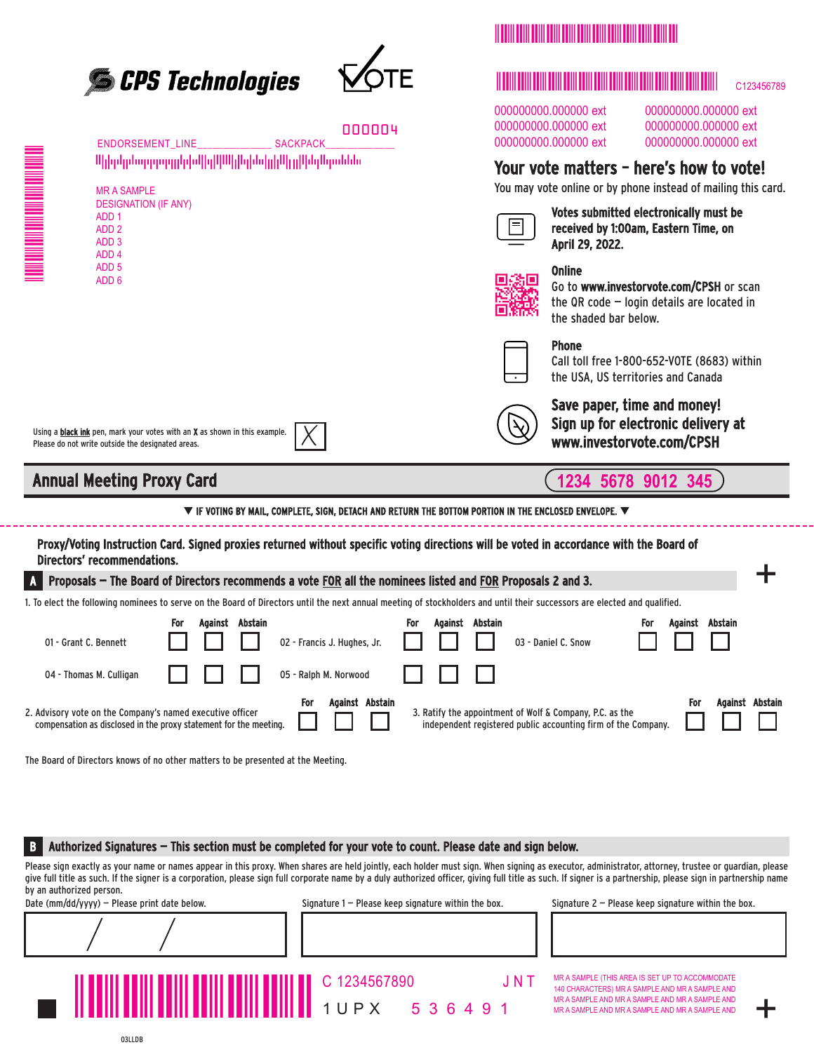



|                                                                    | <b>ENDORSEMENT LINE</b>                                                                                                                                                       |                 | <b>SACKPACK</b>                                                                                                                             | 000004          |                                                                                                        |  | 000000000.000000 ext<br>000000000.000000 ext<br>000000000.000000 ext                                                              |     |                 | 000000000.000000 ext<br>000000000.000000 ext<br>000000000.000000 ext |  |
|--------------------------------------------------------------------|-------------------------------------------------------------------------------------------------------------------------------------------------------------------------------|-----------------|---------------------------------------------------------------------------------------------------------------------------------------------|-----------------|--------------------------------------------------------------------------------------------------------|--|-----------------------------------------------------------------------------------------------------------------------------------|-----|-----------------|----------------------------------------------------------------------|--|
| Սիիրկրնորդորդըիրեվիզկնեկիզիներիներիներներնեն<br><b>MR A SAMPLE</b> |                                                                                                                                                                               |                 |                                                                                                                                             |                 | Your vote matters - here's how to vote!<br>You may vote online or by phone instead of mailing this car |  |                                                                                                                                   |     |                 |                                                                      |  |
|                                                                    | <b>DESIGNATION (IF ANY)</b><br>ADD <sub>1</sub><br>ADD <sub>2</sub><br>ADD <sub>3</sub><br>ADD <sub>4</sub>                                                                   |                 |                                                                                                                                             |                 |                                                                                                        |  | <b>Votes submitted electronically must be</b><br>received by 1:00am, Eastern Time, on<br>April 29, 2022.                          |     |                 |                                                                      |  |
|                                                                    | ADD <sub>5</sub><br>ADD <sub>6</sub>                                                                                                                                          |                 |                                                                                                                                             |                 |                                                                                                        |  | <b>Online</b><br>Go to www.investorvote.com/CPSH or scan<br>the QR code $-$ login details are located in<br>the shaded bar below. |     |                 |                                                                      |  |
|                                                                    |                                                                                                                                                                               |                 |                                                                                                                                             |                 |                                                                                                        |  | <b>Phone</b><br>Call toll free 1-800-652-VOTE (8683) within<br>the USA, US territories and Canada                                 |     |                 |                                                                      |  |
|                                                                    | Using a black ink pen, mark your votes with an X as shown in this example.<br>Please do not write outside the designated areas.                                               |                 |                                                                                                                                             |                 |                                                                                                        |  | Save paper, time and money!<br>Sign up for electronic delivery at<br>www.investorvote.com/CPSH                                    |     |                 |                                                                      |  |
|                                                                    | <b>Annual Meeting Proxy Card</b>                                                                                                                                              |                 |                                                                                                                                             |                 |                                                                                                        |  | 1234 5678 9012 345                                                                                                                |     |                 |                                                                      |  |
|                                                                    |                                                                                                                                                                               |                 | $\blacktriangledown$ if voting by Mail, complete, sign, detach and return the bottom portion in the enclosed envelope. $\blacktriangledown$ |                 |                                                                                                        |  |                                                                                                                                   |     |                 |                                                                      |  |
|                                                                    | Proxy/Voting Instruction Card. Signed proxies returned without specific voting directions will be voted in accordance with the Board of<br><b>Directors' recommendations.</b> |                 |                                                                                                                                             |                 |                                                                                                        |  |                                                                                                                                   |     |                 |                                                                      |  |
|                                                                    | Proposals – The Board of Directors recommends a vote FOR all the nominees listed and FOR Proposals 2 and 3.                                                                   |                 |                                                                                                                                             |                 |                                                                                                        |  |                                                                                                                                   |     |                 |                                                                      |  |
|                                                                    | 1. To elect the following nominees to serve on the Board of Directors until the next annual meeting of stockholders and until their successors are elected and qualified.     |                 |                                                                                                                                             |                 |                                                                                                        |  |                                                                                                                                   |     |                 |                                                                      |  |
| 01 - Grant C. Bennett                                              | For                                                                                                                                                                           | Against Abstain | 02 - Francis J. Hughes, Jr.                                                                                                                 | For             | Against Abstain                                                                                        |  | 03 - Daniel C. Snow                                                                                                               | For | Against Abstain |                                                                      |  |
| 04 - Thomas M. Culligan                                            |                                                                                                                                                                               |                 | 05 - Ralph M. Norwood                                                                                                                       |                 |                                                                                                        |  |                                                                                                                                   |     |                 |                                                                      |  |
|                                                                    |                                                                                                                                                                               |                 | For <b>B</b>                                                                                                                                | Against Abstain |                                                                                                        |  |                                                                                                                                   |     | <b>For</b>      | Against Abstai                                                       |  |

2. Advisory vote on the Company's named executive officer compensation as disclosed in the proxy statement for the meeting.

The Board of Directors knows of no other matters to be presented at the Meeting.

B Authorized Signatures – This section must be completed for your vote to count. Please date and sign below.

Please sign exactly as your name or names appear in this proxy. When shares are held jointly, each holder must sign. When signing as executor, administrator, attorney, trustee or quardian, please give full title as such. If the signer is a corporation, please sign full corporate name by a duly authorized officer, giving full title as such. If signer is a partnership, please sign in partnership name by an authorized person.

Date (mm/dd/yyyy) – Please print date below. Signature 1 – Please keep signature within the box. Signature 2 – Please keep signature within the box.

1UPX

MR A SAMPLE (THIS AREA IS SET UP TO ACCOMMODATE 140 CHARACTERS) MR A SAMPLE AND MR A SAMPLE AND MR A SAMPLE AND MR A SAMPLE AND MR A SAMPLE AND MR A SAMPLE AND MR A SAMPLE AND MR A SAMPLE AND

+

|  | <u> Harry Harry Harry Harry Harry Harry</u> |  |  |  |  |
|--|---------------------------------------------|--|--|--|--|
|  |                                             |  |  |  |  |

C123456789

000000000.0000000 ext

000.000000 ext 000.000000 ext 000.000000 ext

# how to vote!

3. Ratify the appointment of Wolf & Company, P.C. as the independent registered public accounting firm of the Company. For Against Abstain

536491

C 1234567890 J N T

MMMMMMM

03LLDB